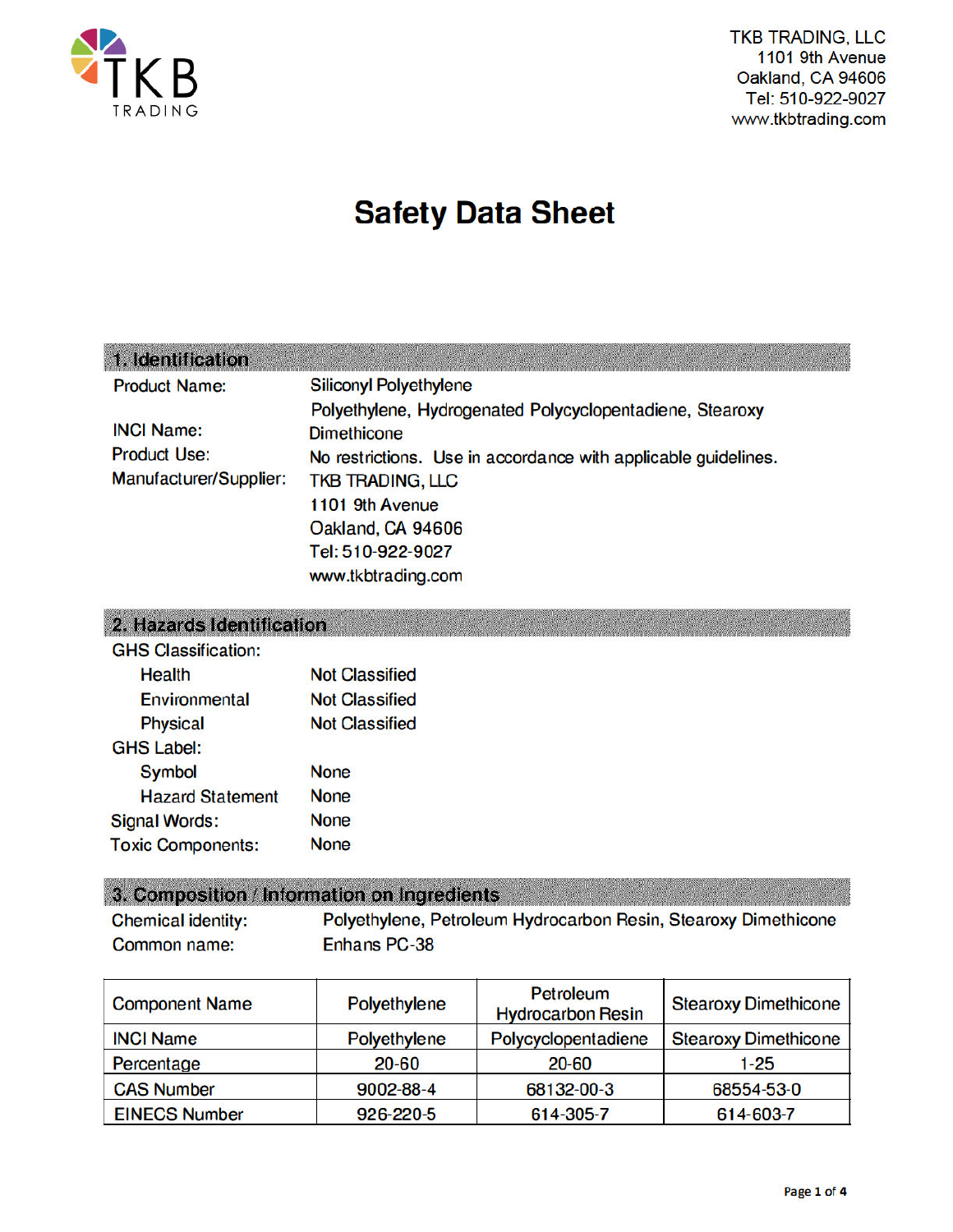

**TKB TRADING, LLC** 1101 9th Avenue Oakland, CA 94606 Tel: 510-922-9027 www.tkbtrading.com

# **Safety Data Sheet**

### 1. Identification

| <b>Product Name:</b>   | <b>Siliconyl Polyethylene</b>                                  |
|------------------------|----------------------------------------------------------------|
|                        | Polyethylene, Hydrogenated Polycyclopentadiene, Stearoxy       |
| <b>INCI Name:</b>      | <b>Dimethicone</b>                                             |
| <b>Product Use:</b>    | No restrictions. Use in accordance with applicable guidelines. |
| Manufacturer/Supplier: | <b>TKB TRADING, LLC</b>                                        |
|                        | 1101 9th Avenue                                                |
|                        | Oakland, CA 94606                                              |
|                        | Tel: 510-922-9027                                              |
|                        | www.tkbtrading.com                                             |

### 2. Hazards Identification

| <b>Not Classified</b> |
|-----------------------|
| <b>Not Classified</b> |
| <b>Not Classified</b> |
|                       |
| <b>None</b>           |
| <b>None</b>           |
| <b>None</b>           |
| <b>None</b>           |
|                       |

### 3. Composition / Information on Ingredients

**Chemical identity:** Polyethylene, Petroleum Hydrocarbon Resin, Stearoxy Dimethicone Enhans PC-38 Common name:

| <b>Component Name</b> | Polyethylene | Petroleum<br><b>Hydrocarbon Resin</b> | <b>Stearoxy Dimethicone</b> |
|-----------------------|--------------|---------------------------------------|-----------------------------|
| <b>INCI Name</b>      | Polyethylene | Polycyclopentadiene                   | <b>Stearoxy Dimethicone</b> |
| Percentage            | $20 - 60$    | 20-60                                 | $1-25$                      |
| <b>CAS Number</b>     | 9002-88-4    | 68132-00-3                            | 68554-53-0                  |
| <b>EINECS Number</b>  | 926-220-5    | 614-305-7                             | 614-603-7                   |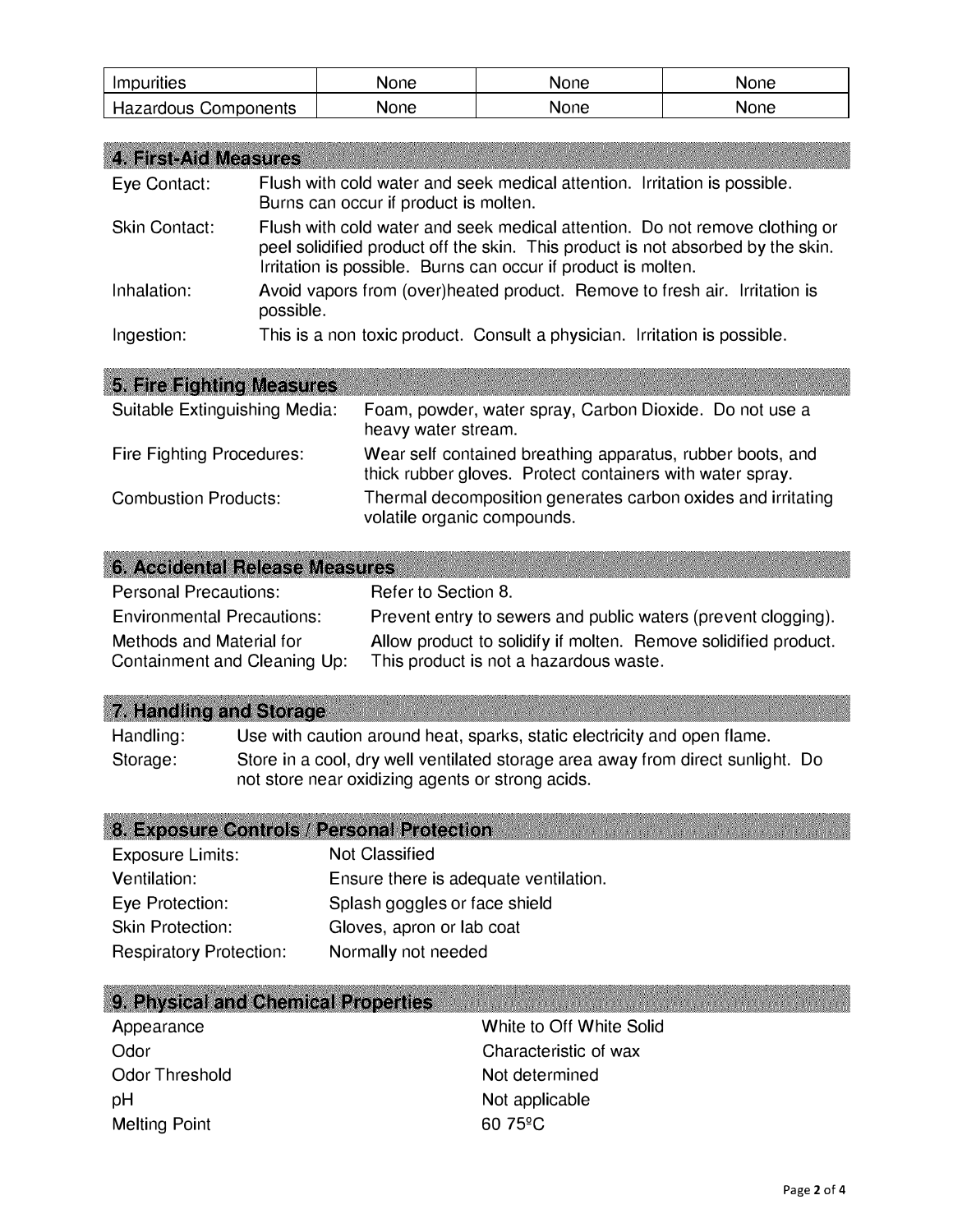| Impurities                  | None | None | None |
|-----------------------------|------|------|------|
| <b>Hazardous Components</b> | None | None | None |

| <b>4. First-Aid Measures</b> |                                                                                                                                                                                                                                 |
|------------------------------|---------------------------------------------------------------------------------------------------------------------------------------------------------------------------------------------------------------------------------|
| Eye Contact:                 | Flush with cold water and seek medical attention. Irritation is possible.<br>Burns can occur if product is molten.                                                                                                              |
| <b>Skin Contact:</b>         | Flush with cold water and seek medical attention. Do not remove clothing or<br>peel solidified product off the skin. This product is not absorbed by the skin.<br>Irritation is possible. Burns can occur if product is molten. |
| Inhalation:                  | Avoid vapors from (over)heated product. Remove to fresh air. Irritation is<br>possible.                                                                                                                                         |
| Ingestion:                   | This is a non toxic product. Consult a physician. Irritation is possible.                                                                                                                                                       |
|                              |                                                                                                                                                                                                                                 |

| 5. Fire Fighting Measures        |                                                                                                                         |
|----------------------------------|-------------------------------------------------------------------------------------------------------------------------|
| Suitable Extinguishing Media:    | Foam, powder, water spray, Carbon Dioxide. Do not use a<br>heavy water stream.                                          |
| <b>Fire Fighting Procedures:</b> | Wear self contained breathing apparatus, rubber boots, and<br>thick rubber gloves. Protect containers with water spray. |
| <b>Combustion Products:</b>      | Thermal decomposition generates carbon oxides and irritating<br>volatile organic compounds.                             |

| 6. Accidental Release Measures                           |                                                                                                           |
|----------------------------------------------------------|-----------------------------------------------------------------------------------------------------------|
| <b>Personal Precautions:</b>                             | Refer to Section 8.                                                                                       |
| <b>Environmental Precautions:</b>                        | Prevent entry to sewers and public waters (prevent clogging).                                             |
| Methods and Material for<br>Containment and Cleaning Up: | Allow product to solidify if molten. Remove solidified product.<br>This product is not a hazardous waste. |

| 7. Handling and Storage |  |  |  |
|-------------------------|--|--|--|

Handling: Use with caution around heat, sparks, static electricity and open flame. Storage: Store in a cool, dry well ventilated storage area away from direct sunlight. Do not store near oxidizing agents or strong acids.

### 8. Exposure Controls / Personal Protection

| Exposure Limits:               | <b>Not Classified</b>                 |
|--------------------------------|---------------------------------------|
| Ventilation:                   | Ensure there is adequate ventilation. |
| Eye Protection:                | Splash goggles or face shield         |
| <b>Skin Protection:</b>        | Gloves, apron or lab coat             |
| <b>Respiratory Protection:</b> | Normally not needed                   |

### 9. Physical and Chemical Properties

| Appearance           | White to Off White Solid |
|----------------------|--------------------------|
| Odor                 | Characteristic of wax    |
| Odor Threshold       | Not determined           |
| pH                   | Not applicable           |
| <b>Melting Point</b> | $6075$ <sup>o</sup> C    |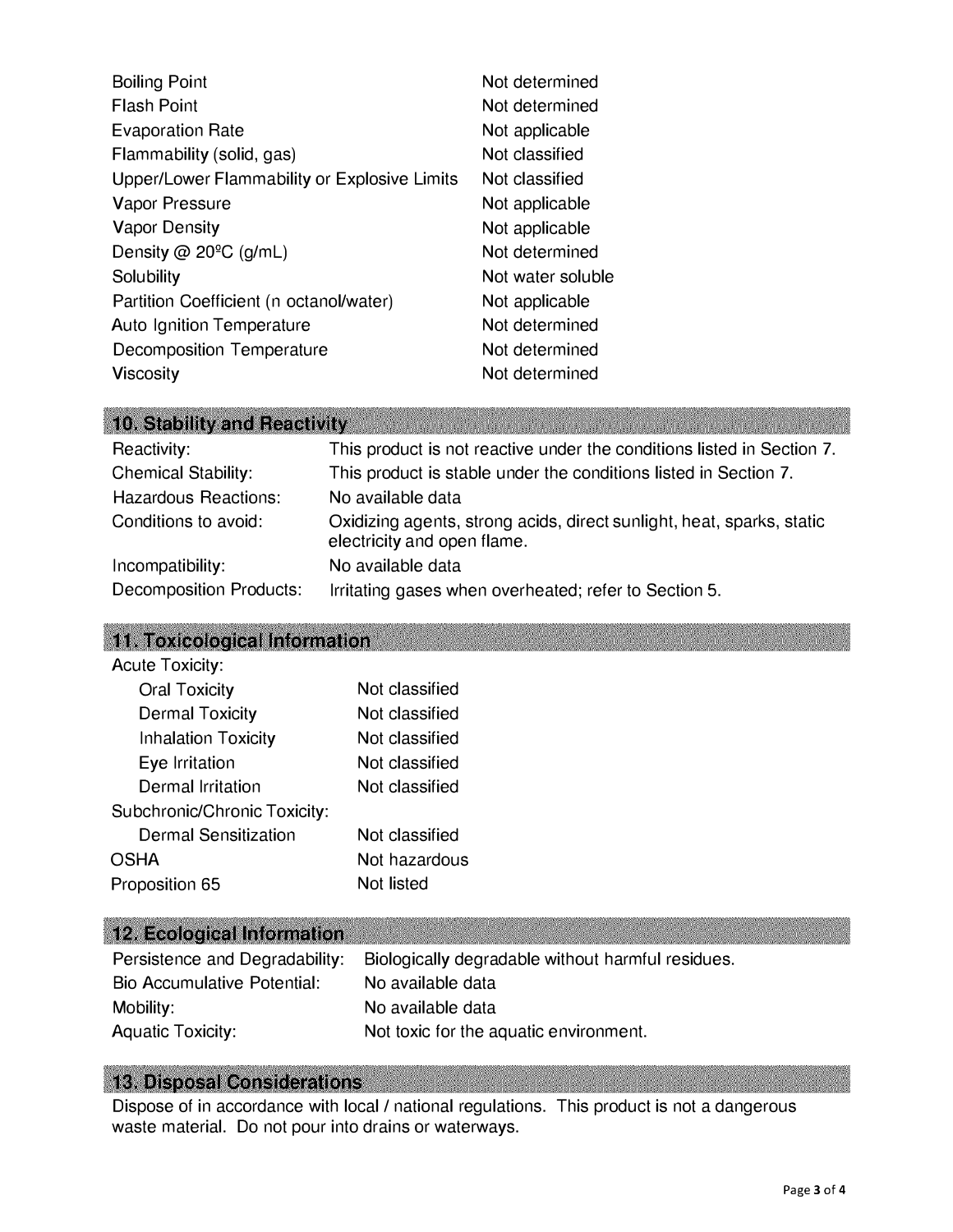| <b>Boiling Point</b>                         | Not determined    |
|----------------------------------------------|-------------------|
| <b>Flash Point</b>                           | Not determined    |
| <b>Evaporation Rate</b>                      | Not applicable    |
| Flammability (solid, gas)                    | Not classified    |
| Upper/Lower Flammability or Explosive Limits | Not classified    |
| <b>Vapor Pressure</b>                        | Not applicable    |
| <b>Vapor Density</b>                         | Not applicable    |
| Density @ $20^{\circ}$ C (g/mL)              | Not determined    |
| Solubility                                   | Not water soluble |
| Partition Coefficient (n octanol/water)      | Not applicable    |
| <b>Auto Ignition Temperature</b>             | Not determined    |
| Decomposition Temperature                    | Not determined    |
| <b>Viscosity</b>                             | Not determined    |

| 10. Stability and Reactivity   |                                                                                                      |
|--------------------------------|------------------------------------------------------------------------------------------------------|
| Reactivity:                    | This product is not reactive under the conditions listed in Section 7.                               |
| <b>Chemical Stability:</b>     | This product is stable under the conditions listed in Section 7.                                     |
| <b>Hazardous Reactions:</b>    | No available data                                                                                    |
| Conditions to avoid:           | Oxidizing agents, strong acids, direct sunlight, heat, sparks, static<br>electricity and open flame. |
| Incompatibility:               | No available data                                                                                    |
| <b>Decomposition Products:</b> | Irritating gases when overheated; refer to Section 5.                                                |

# 11. Toxicological Information

| <b>Acute Toxicity:</b>       |                |
|------------------------------|----------------|
| <b>Oral Toxicity</b>         | Not classified |
| <b>Dermal Toxicity</b>       | Not classified |
| <b>Inhalation Toxicity</b>   | Not classified |
| Eye Irritation               | Not classified |
| Dermal Irritation            | Not classified |
| Subchronic/Chronic Toxicity: |                |
| Dermal Sensitization         | Not classified |
| <b>OSHA</b>                  | Not hazardous  |
| Proposition 65               | Not listed     |

# 12. Ecological Information

| Persistence and Degradability:     | Biologically degradable without harmful residues. |
|------------------------------------|---------------------------------------------------|
| <b>Bio Accumulative Potential:</b> | No available data                                 |
| Mobility:                          | No available data                                 |
| <b>Aquatic Toxicity:</b>           | Not toxic for the aquatic environment.            |

### **13. Disposal Considerations**

Dispose of in accordance with local / national regulations. This product is not a dangerous waste material. Do not pour into drains or waterways.